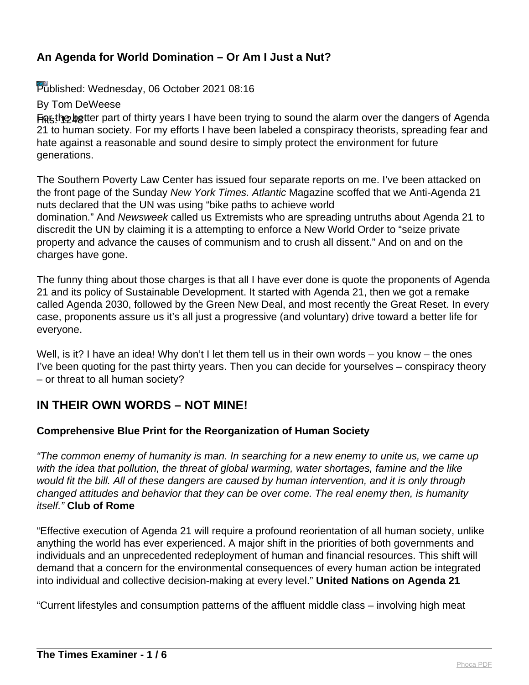Published: Wednesday, 06 October 2021 08:16

By Tom DeWeese

everyone.

Figsthe better part of thirty years I have been trying to sound the alarm over the dangers of Agenda 21 to human society. For my efforts I have been labeled a conspiracy theorists, spreading fear and hate against a reasonable and sound desire to simply protect the environment for future generations.

The Southern Poverty Law Center has issued four separate reports on me. I've been attacked on the front page of the Sunday New York Times. Atlantic Magazine scoffed that we Anti-Agenda 21 nuts declared that the UN was using "bike paths to achieve world domination." And Newsweek called us Extremists who are spreading untruths about Agenda 21 to discredit the UN by claiming it is a attempting to enforce a New World Order to "seize private property and advance the causes of communism and to crush all dissent." And on and on the

charges have gone. The funny thing about those charges is that all I have ever done is quote the proponents of Agenda 21 and its policy of Sustainable Development. It started with Agenda 21, then we got a remake called Agenda 2030, followed by the Green New Deal, and most recently the Great Reset. In every case, proponents assure us it's all just a progressive (and voluntary) drive toward a better life for

Well, is it? I have an idea! Why don't I let them tell us in their own words – you know – the ones I've been quoting for the past thirty years. Then you can decide for yourselves – conspiracy theory – or threat to all human society?

## **IN THEIR OWN WORDS – NOT MINE!**

## **Comprehensive Blue Print for the Reorganization of Human Society**

"The common enemy of humanity is man. In searching for a new enemy to unite us, we came up with the idea that pollution, the threat of global warming, water shortages, famine and the like would fit the bill. All of these dangers are caused by human intervention, and it is only through changed attitudes and behavior that they can be over come. The real enemy then, is humanity itself." **Club of Rome**

"Effective execution of Agenda 21 will require a profound reorientation of all human society, unlike anything the world has ever experienced. A major shift in the priorities of both governments and individuals and an unprecedented redeployment of human and financial resources. This shift will demand that a concern for the environmental consequences of every human action be integrated into individual and collective decision-making at every level." **United Nations on Agenda 21**

"Current lifestyles and consumption patterns of the affluent middle class – involving high meat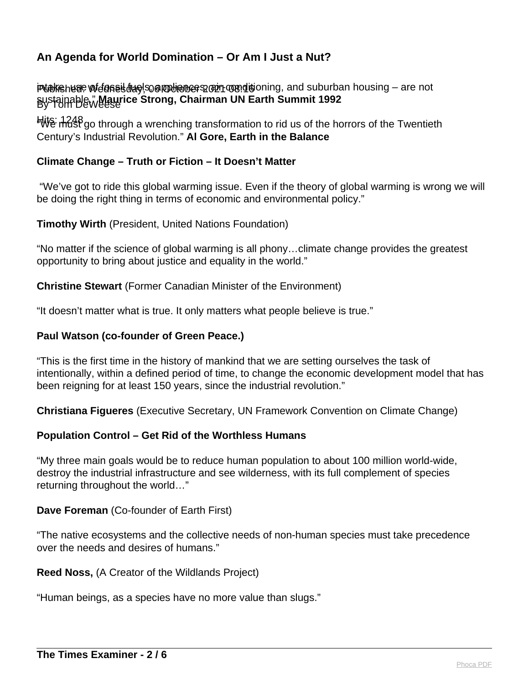i**Publishede wi***d***anes day**, So al Member 2021 row disioning, and suburban housing – are not By Tom DeWeese sustainable." **Maurice Strong, Chairman UN Earth Summit 1992**

માં/ાંધુ: તીતી8 go through a wrenching transformation to rid us of the horrors of the Twentieth Century's Industrial Revolution." **Al Gore, Earth in the Balance**

## **Climate Change – Truth or Fiction – It Doesn't Matter**

 "We've got to ride this global warming issue. Even if the theory of global warming is wrong we will be doing the right thing in terms of economic and environmental policy."

### **Timothy Wirth** (President, United Nations Foundation)

"No matter if the science of global warming is all phony…climate change provides the greatest opportunity to bring about justice and equality in the world."

**Christine Stewart** (Former Canadian Minister of the Environment)

"It doesn't matter what is true. It only matters what people believe is true."

### **Paul Watson (co-founder of Green Peace.)**

"This is the first time in the history of mankind that we are setting ourselves the task of intentionally, within a defined period of time, to change the economic development model that has been reigning for at least 150 years, since the industrial revolution."

**Christiana Figueres** (Executive Secretary, UN Framework Convention on Climate Change)

## **Population Control – Get Rid of the Worthless Humans**

"My three main goals would be to reduce human population to about 100 million world-wide, destroy the industrial infrastructure and see wilderness, with its full complement of species returning throughout the world…"

#### **Dave Foreman** (Co-founder of Earth First)

"The native ecosystems and the collective needs of non-human species must take precedence over the needs and desires of humans."

#### **Reed Noss,** (A Creator of the Wildlands Project)

"Human beings, as a species have no more value than slugs."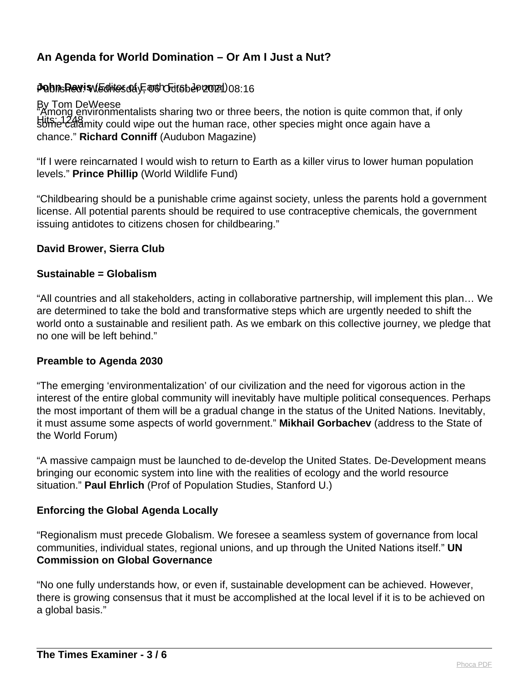## **Poblished: sv&ditos@iyE@ishchifsbep20021)**08:16

By Tom DeWeese Hits: 1248 Communications of the human race, other species might once again have a "Among environmentalists sharing two or three beers, the notion is quite common that, if only chance." **Richard Conniff** (Audubon Magazine)

"If I were reincarnated I would wish to return to Earth as a killer virus to lower human population levels." **Prince Phillip** (World Wildlife Fund)

"Childbearing should be a punishable crime against society, unless the parents hold a government license. All potential parents should be required to use contraceptive chemicals, the government issuing antidotes to citizens chosen for childbearing."

### **David Brower, Sierra Club**

#### **Sustainable = Globalism**

"All countries and all stakeholders, acting in collaborative partnership, will implement this plan… We are determined to take the bold and transformative steps which are urgently needed to shift the world onto a sustainable and resilient path. As we embark on this collective journey, we pledge that no one will be left behind."

#### **Preamble to Agenda 2030**

"The emerging 'environmentalization' of our civilization and the need for vigorous action in the interest of the entire global community will inevitably have multiple political consequences. Perhaps the most important of them will be a gradual change in the status of the United Nations. Inevitably, it must assume some aspects of world government." **Mikhail Gorbachev** (address to the State of the World Forum)

"A massive campaign must be launched to de-develop the United States. De-Development means bringing our economic system into line with the realities of ecology and the world resource situation." **Paul Ehrlich** (Prof of Population Studies, Stanford U.)

## **Enforcing the Global Agenda Locally**

"Regionalism must precede Globalism. We foresee a seamless system of governance from local communities, individual states, regional unions, and up through the United Nations itself." **UN Commission on Global Governance** 

"No one fully understands how, or even if, sustainable development can be achieved. However, there is growing consensus that it must be accomplished at the local level if it is to be achieved on a global basis."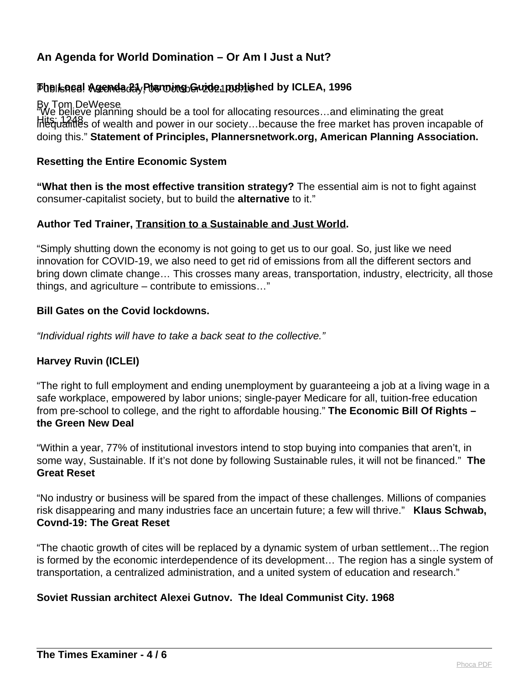# Published: Wednesday, 06 October 2021 08:16 **The Local Agenda 21 Planning Guide, published by ICLEA, 1996**

By Tom DeWeese Hits: 1248<br>Intequalities of wealth and power in our society…because the free market has proven incapable of "We believe planning should be a tool for allocating resources…and eliminating the great doing this." **Statement of Principles, Plannersnetwork.org, American Planning Association.** 

### **Resetting the Entire Economic System**

**"What then is the most effective transition strategy?** The essential aim is not to fight against consumer-capitalist society, but to build the **alternative** to it."

### **Author Ted Trainer, Transition to a Sustainable and Just World.**

"Simply shutting down the economy is not going to get us to our goal. So, just like we need innovation for COVID-19, we also need to get rid of emissions from all the different sectors and bring down climate change… This crosses many areas, transportation, industry, electricity, all those things, and agriculture – contribute to emissions…"

### **Bill Gates on the Covid lockdowns.**

"Individual rights will have to take a back seat to the collective."

## **Harvey Ruvin (ICLEI)**

"The right to full employment and ending unemployment by guaranteeing a job at a living wage in a safe workplace, empowered by labor unions; single-payer Medicare for all, tuition-free education from pre-school to college, and the right to affordable housing." **The Economic Bill Of Rights – the Green New Deal**

"Within a year, 77% of institutional investors intend to stop buying into companies that aren't, in some way, Sustainable. If it's not done by following Sustainable rules, it will not be financed." **The Great Reset**

"No industry or business will be spared from the impact of these challenges. Millions of companies risk disappearing and many industries face an uncertain future; a few will thrive." **Klaus Schwab, Covnd-19: The Great Reset**

"The chaotic growth of cites will be replaced by a dynamic system of urban settlement…The region is formed by the economic interdependence of its development… The region has a single system of transportation, a centralized administration, and a united system of education and research."

## **Soviet Russian architect Alexei Gutnov. The Ideal Communist City. 1968**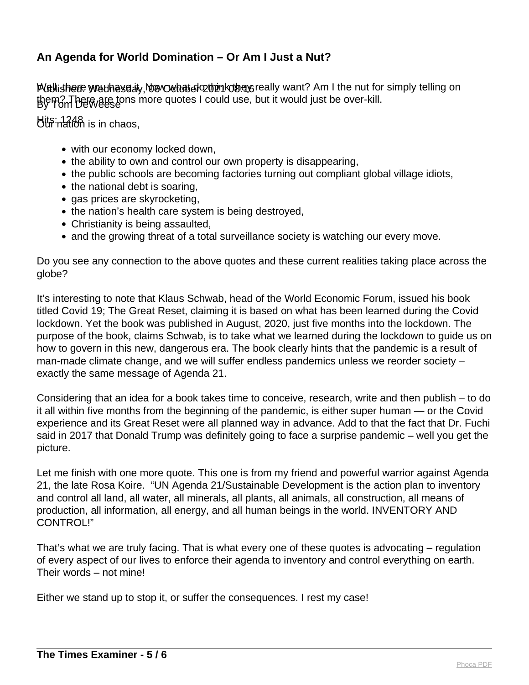Publishere we the saity, Now Ochat do think the neally want? Am I the nut for simply telling on them? There are tons more quotes I could use, but it would just be over-kill.<br>By Tom DeWese

Hits: 1248<br>Uur nation is in chaos,

- with our economy locked down,
- the ability to own and control our own property is disappearing,
- the public schools are becoming factories turning out compliant global village idiots,
- $\bullet$  the national debt is soaring.
- gas prices are skyrocketing,
- the nation's health care system is being destroyed,
- Christianity is being assaulted,
- and the growing threat of a total surveillance society is watching our every move.

Do you see any connection to the above quotes and these current realities taking place across the globe?

It's interesting to note that Klaus Schwab, head of the World Economic Forum, issued his book titled Covid 19; The Great Reset, claiming it is based on what has been learned during the Covid lockdown. Yet the book was published in August, 2020, just five months into the lockdown. The purpose of the book, claims Schwab, is to take what we learned during the lockdown to guide us on how to govern in this new, dangerous era. The book clearly hints that the pandemic is a result of man-made climate change, and we will suffer endless pandemics unless we reorder society – exactly the same message of Agenda 21.

Considering that an idea for a book takes time to conceive, research, write and then publish – to do it all within five months from the beginning of the pandemic, is either super human — or the Covid experience and its Great Reset were all planned way in advance. Add to that the fact that Dr. Fuchi said in 2017 that Donald Trump was definitely going to face a surprise pandemic – well you get the picture.

Let me finish with one more quote. This one is from my friend and powerful warrior against Agenda 21, the late Rosa Koire. "UN Agenda 21/Sustainable Development is the action plan to inventory and control all land, all water, all minerals, all plants, all animals, all construction, all means of production, all information, all energy, and all human beings in the world. INVENTORY AND CONTROL!"

That's what we are truly facing. That is what every one of these quotes is advocating – regulation of every aspect of our lives to enforce their agenda to inventory and control everything on earth. Their words – not mine!

Either we stand up to stop it, or suffer the consequences. I rest my case!